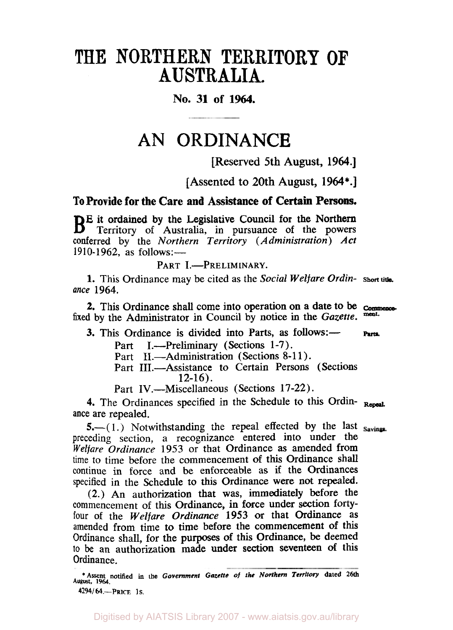# THE **NORTHERN TERRITORY OF AUSTRALIA.**

# **No. 31 of 1964.**

# **AN ORDINANCE**

[Reserved 5th August, 1964.]

[Assented to 20th August, **1964\*.]** 

**To Provide for the Care and Assistance of Certain Persons.** 

**E** it ordained by the Legislative Council for the Northern Territory of Australia, in pursuance of the powers conferred by the *Northern Territory (Administration) Act*   $1910-1962$ , as follows:-

PART I.-PRELIMINARY.

1. This Ordinance may be cited as the *Social Welfare Ordin*- Short title. ance 1964.

*2.* This Ordinance shall come into operation on a date to be *Commence*  fixed by the Administrator in Council by notice in the *Gazette*.

3. This Ordinance is divided into Parts, as follows:- Parts.

Part I.—Preliminary (Sections 1-7).

- Part II.—Administration (Sections 8-11).
- Part III.—Assistance to Certain Persons (Sections 12-16).

Part IV.-Miscellaneous (Sections 17-22).

**4.** The Ordinances specified in the Schedule to this Ordin- **Repeal**  ance are repealed.

 $5.-(1.)$  Notwithstanding the repeal effected by the last savings. preceding section, a recognizance entered into under the *Welfare Ordinance* 1953 or that Ordinance **as** amended from time to time before the commencement of this Ordinance shall continue in force and be enforceable as if the Ordinances specified in the Schedule to this Ordinance were not repealed.

(2.) An authorization that **was,** immediately before the commencement of this Ordinance, in force under section fortyfour of the *Welfare Ordinance* 1953 or that Ordinance as amended from time **to** time before the commencement of this Ordinance shall, for the purposes of this Ordinance, be deemed to be an authorization made under **section** seventeen of this Ordinance.

Digitised by AIATSIS Library 2007 - www.aiatsis.gov.au/library

**August, 1964. \*Assent notified in the** *Government Gazette of the Northern Territory* **dated 26th**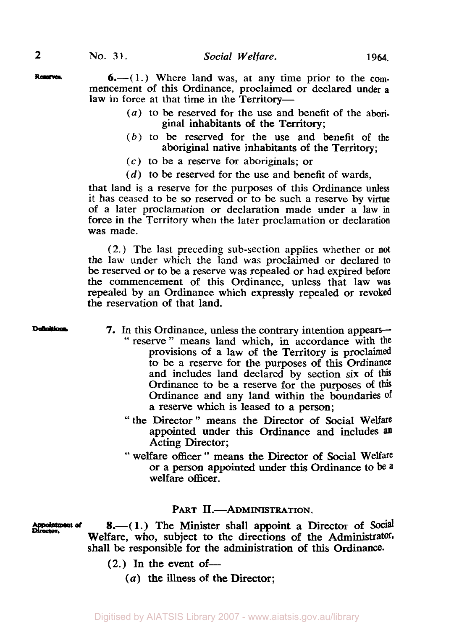Reserves. 6. (1.) Where land was, at any time prior to the commencement of this Ordinance, proclaimed or declared under **<sup>a</sup>** law in force at that time in the Territory-

- (a) to be reserved for the use and benefit of the aboriginal inhabitants of the Territory;
- *(6)* to be reserved for the use and benefit of the aboriginal native inhabitants of the Territory;
- *(c)* to be a reserve for aboriginals; or
- *(d)* to be reserved for the use and benefit of wards,

that land is a reserve for the purposes of this Ordinance **unless**  it has ceased to be so reserved or to be such a reserve by virtue of a later proclamation or declaration made under a law in force in the Territory when the later proclamation or declaration was made.

(2.) The last preceding sub-section applies whether or not the law under which the land was proclaimed or declared **to**  be reserved or to be a reserve was repealed or had expired before the commencement *of* this Ordinance, unless that law **was**  repealed by an Ordinance which expressly repealed or revoked the reservation of that land.

- Definitions **7.** In this Ordinance, unless the contrary intention appears-<br>" reserve " means land which, in accordance with the provisions of a law of the Territory is proclaimed to be a reserve for the purposes of this Ordinance and includes land declared by section six of **this**  Ordinance to be a reserve for the purposes of this Ordinance and any land within the boundaries **Of**  a reserve which is leased to a person;
	- "the Director" means the Director of Social Welfare appointed under this Ordinance and includes Acting Director;
	- " welfare officer " means the Director **of** Social Welfare or a person appointed under this Ordinance to be **<sup>a</sup>** welfare officer.

## PART II.-ADMINISTRATION.

*Appointment Director. d* 

8.-(1.) The Minister shall appoint a Director of Social Welfare, who, subject to the directions of the Administrator, shall **be** responsible for the administration **of** this Ordinance.

- $(2.)$  In the event of-
	- (a) the illness **of the** Director;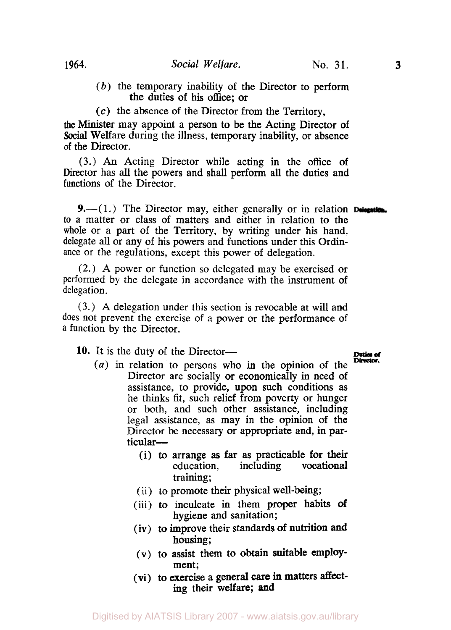- *(b)* the temporary inability of the Director to perform the duties of his office; or
- *(c)* the absence of the Director from the Territory,

the Minister may appoint a person to be the Acting Director of Social Welfare during the illness, temporary inability, or absence **of** the Director.

**(3.)** *An* Acting Director while acting in the office of Director has all the powers and shall perform all the duties and functions of the Director.

**9.**—(1.) The Director may, either generally or in relation **Delegation.** to a matter or class of matters and either in relation to the whole or a part of the Territory, by writing under his hand, delegate all or any of his powers and functions under this Ordinance or the regulations, except this power of delegation.

(2.) **A** power or function *so* delegated may be exercised or performed by the delegate in accordance with the instrument of delegation.

**(3.) A** delegation under this section is revocable at will and does not prevent the exercise of a power or the performance of **a** function by the Director.

**10.** It is the duty of the Director-<br> **10.** It is the duty of the Director-

- **Director.** *(a)* in relation to persons who in the opinion of the Director are socially *or* economically in need of assistance, to provide, upon such conditions as he thinks fit, such relief from poverty or hunger or both, and such other assistance, including legal assistance, as may in the opinion of the Director be necessary *or* appropriate and, in particular-
	- (i) to arrange **as** far as practicable for their education, including vocational training;
	- (ii) to promote their physical well-being;
	- (iii) to inculcate in them proper habits **of**  hygiene and sanitation;
	- (iv) to improve their standards **of** nutrition **and**  housing;
	- (v) to assist them to obtain suitable employment;
	- (vi) to exercise a general **care** in matters **affect**ing their welfare; **and**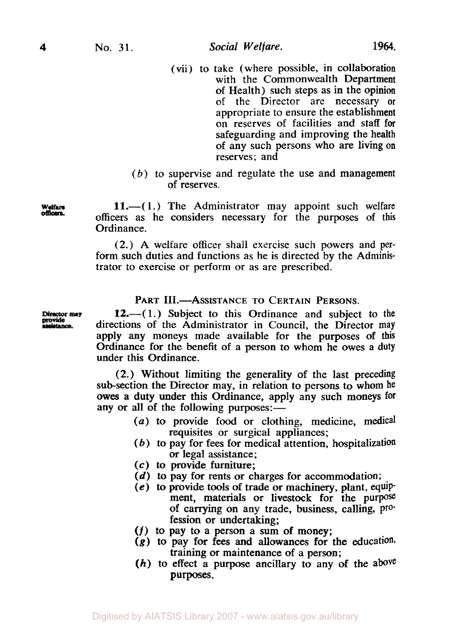- (vii) to take (where possible, in collaboration with the Commonwealth Department of Health) such steps as in the opinion of the Director are necessary or appropriate to ensure the establishment on reserves of facilities and staff for safeguarding and improving the health of any such persons who are living on reserves: and
- $(b)$  to supervise and regulate the use and management of reserves.

**Welfare 11.**—(1.) The Administrator may appoint such welfare officers as he considers necessary for the purposes of this Ordinance.

> (2.) A welfare officer shall exercise such powers and **per**form such duties and functions as he is directed by the Administrator to exercise or perform or as are prescribed.

## PART III.-ASSISTANCE TO CERTAIN PERSONS.

12.—(1.) Subject to this Ordinance and subject to the directions of the Administrator in Council, the Director may apply any moneys made available for the purposes of **this**  Ordinance for the benefit of a person to whom he owes a **duty**  under this Ordinance.

(2.) Without limiting the generality of the last preceding sub-section the Director may, in relation to persons to whom he owes a duty under this Ordinance, apply any such moneys **for**  any or all of the following purposes:-

- *(a)* to provide food or clothing, medicine, medical requisites or surgical appliances;
- *(b)* to pay for fees for medical attention, hospitalization *or* legal assistance;
- *(c)* to provide furniture;
- *(d)* to pay for rents or charges for accommodation;
- **(e)** to provide tools of trade or machinery, plant, equipment, materials or livestock for the purpose of carrying on any trade, business, calling, **pro**fession or undertaking;
- *(f)* to pay to a person a sum of money;
- **(g)** to pay for fees **and** allowances for the education, training or maintenance of a person;
- *(h)* to effect a purpose ancillary to any of the above purposes.

Director may<br>provide<br>assistance.

officers.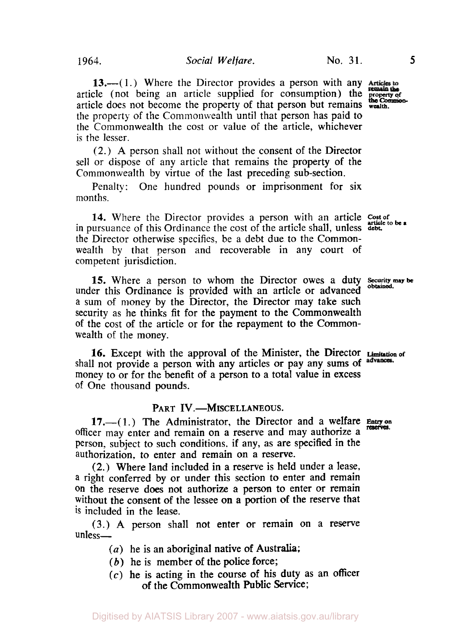**13.**—(1.) Where the Director provides a person with any Articles to article (not being an article supplied for consumption) the **property of**  article does not become the property of that person but remains wealth. the property of the Commonwealth until that person has paid to the Commonwealth the cost or value of the article, whichever is the lesser.

(2.) **A** person shall not without the consent of the Director sell or dispose of any article that remains the property of the Commonwealth by virtue of the last preceding sub-section.

Penalty: One hundred pounds or imprisonment for six months.

**14.** Where the Director provides a person with an article cost of in pursuance of this Ordinance the cost of the article shall, unless **debt.**  the Director otherwise specifies, be a debt due to the Commonwealth by that person and recoverable in any court **of**  competent jurisdiction.

under this Ordinance is provided with an article or advanced a sum of money by the Director, the Director may take such security as he thinks fit for the payment to the Commonwealth of the cost of the article or for the repayment to the Commonwealth of the money. **15.** Where a person to whom the Director owes a duty Security may be obtained.

shall not provide a person with any articles or pay any sums of advances. money to or for the benefit of a person to a total value in excess of One thousand pounds. **16.** Except with the approval of the Minister, the Director **Limitation of** 

#### PART IV.-MISCELLANEOUS.

officer may enter and remain on a reserve and may authorize **a**  person, subject to such conditions. if any, as are specified in the authorization, to enter and remain on a reserve. **17.-(1.)** The Administrator, the Director and a welfare **Entry on**  reserves.

**(2.)** Where land included in a reserve is held under a lease, **a** right conferred by or under this section to enter and remain on the reserve does not authorize a person to enter or remain without the consent of the lessee on a portion of the reserve that is included in the lease.

**(3.)** A person shall not enter or remain on a reserve unless-

- *(a)* he is an aboriginal native of Australia;
- *(b)* he is member of the police force;
- *(c)* he is acting in the course of his duty as an officer of the Commonwealth Public Service;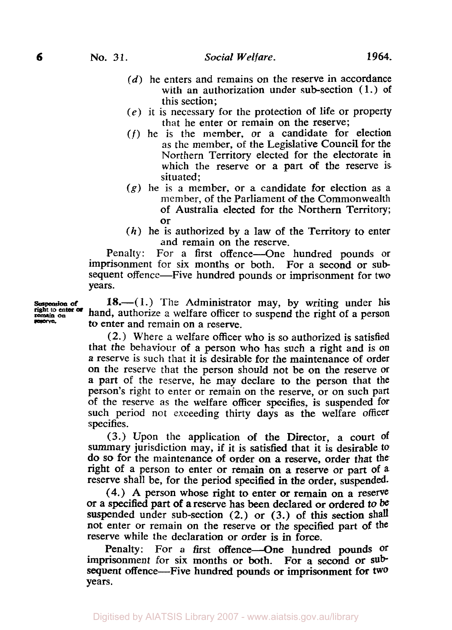- *(d)* he enters and remains on the reserve in accordance with an authorization under sub-section  $(1.)$  of this section;
- $(e)$  it is necessary for the protection of life or property that he enter or remain on the reserve;
- *(f)* he is the member, or a candidate for election as the member, of the Legislative Council for the Northern Territory elected for the electorate in which the reserve or a part of the reserve is situated:
- *(g)* he is a member, or a candidate for election as a member, of the Parliament of the Commonwealth of Australia elected for the Northern Territory; or
- $(h)$  he is authorized by a law of the Territory to enter and remain on the reserve.

Penalty: For a first offence—One hundred pounds or imprisonment for six months or both. For a second or subsequent offence—Five hundred pounds or imprisonment for two years.

**Suspension of right to enter or** h remain **on** reserve

**18.**—(1.) The Administrator may, by writing under his and, authorize **a** welfare officer to suspend the right of a person to enter and remain on a reserve.

(2.) Where a welfare officer who is so authorized is satisfied that the behaviour of a person who has such a right and is on a reserve is such that it is desirable for the maintenance of order on the reserve that the person should not be on the reserve or a part of the reserve, he may declare to the person that the person's right to enter or remain on the reserve, or on such **part**  of the reserve as the welfare officer specifies, is suspended for such period not exceeding thirty days as the welfare officer specifies.

(3.) Upon the application of the Director, a court **Of**  summary jurisdiction may, if it is satisfied that it is desirable to do so for the maintenance of order **on a** reserve, order that the right of a person to enter or remain **on** a reserve or part of **<sup>a</sup>** reserve shall be, for the period specified in the order, suspended-

**(4.)** A person whose right to enter or remain **on** a reserve *or* a specified part *of* **a** reserve has **been** declared or ordered to be suspended under sub-section (2.) or (3.) of this section shall not enter or remain on the reserve or the specified part of the reserve while the declaration or order is in force.

Penalty: For a first offence-One hundred pounds of imprisonment for six months or both. For a second or **sub**sequent offence-Five hundred pounds or imprisonment **for two**  years.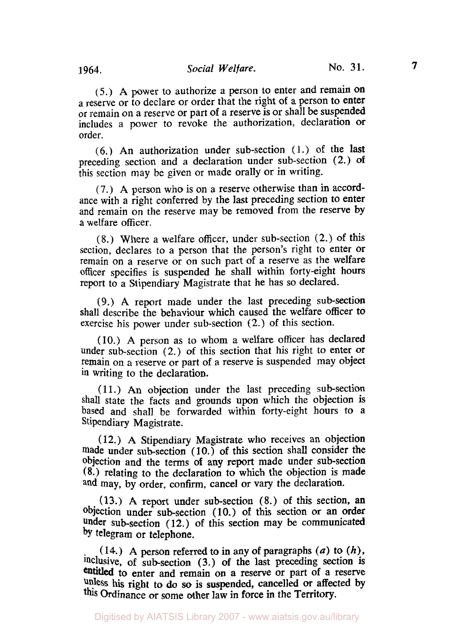*(5.)* **A** power to authorize a person to enter and remain **on**  a reserve or to declare or order that the right of a person to enter or remain on **a** reserve or part of a reserve is or shall be suspended includes a power to revoke the authorization, declaration or order.

(6.) An authorization under sub-section **(1.)** of the last preceding section and a declaration under sub-section **(2.) of**  this section may be given or made orally or in writing.

(7.) A person who is on a reserve otherwise than in accordance with a right conferred by the last preceding section to enter and remain on the reserve may be removed from the reserve by a welfare officer.

**(8.)** Where a welfare officer, under sub-section (2.) of this section, declares to a person that the person's right to enter or remain on a reserve or on such part of a reserve as the welfare officer specifies is suspended he shall within forty-eight hours report to a Stipendiary Magistrate that he has so declared.

(9.) **A** report made under the last preceding sub-section shall describe the behaviour which caused the welfare officer to exercise his power under sub-section (2.) of this section.

(10.) **A** person as to whom a welfare officer has declared under sub-section (2.) of this section that his right to enter or remain on a reserve or part of a reserve is suspended may object in writing to the declaration.

(11.) An objection under the last preceding subsection shall state the facts and grounds **upon** which the objection is based and shall be forwarded within forty-eight hours to a Stipendiary Magistrate.

**(12.)** A Stipendiary Magistrate who receives an objection made under sub-section  $(10)$  of this section shall consider the objection and the terms **of** any report made under sub-section **(8.)** relating to the declaration to which the objection is made and may, by order, confirm, cancel or vary the declaration.

**(13.) A** report under subsection **(8.)** of this section, an objection under subsection **(10.)** of this section or an order under subsection **(12.)** of this section may be communicated by telegram or telephone.

( **14.)** A person referred to in any **of** paragraphs *(a)* to *(h),*  inclusive, of subsection **(3.)** of the last preceding section is entitled to enter and remain on a reserve or part of a reserve **unless** his right to do *so* is suspended, cancelled *or* affected by this Ordinance or some other **law** in force in the Territory.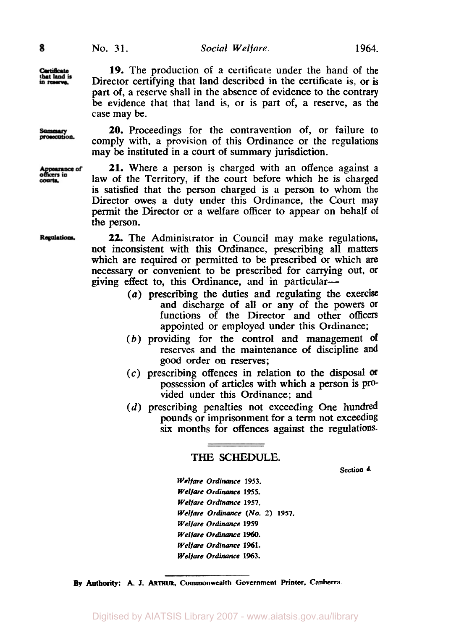Cartificate that land is

Summary<br>prosecution.

Appearance of<br>officers in courts.

**19.** The production of a certificate under the hand of the Director certifying that land described in the certificate is, or is part of, a reserve shall in the absence of evidence to the contrary be evidence that that land is, or is part of, a reserve, as the case may be.

*20.* Proceedings for the contravention of, or failure to comply with, a provision of this Ordinance or the regulations may be instituted in a court of summary jurisdiction.

**21.** Where a person is charged with an offence against **<sup>a</sup>** law **of** the Territory, if the court before which he is charged is satisfied that the person charged is a person to whom the Director owes a duty under this Ordinance, the Court may permit the Director or a welfare officer to appear on behalf of the person.

Regulations,

*22.* The Administrator in Council may make regulations, not inconsistent with this Ordinance, prescribing all matters which are required or permitted to be prescribed or which **are**  necessary or convenient to be prescribed for carrying out, or giving effect to, this Ordinance, and in particular-

- *(a)* prescribing the duties and regulating the exercise and discharge of all or any of the powers or functions of the Director and other officers appointed or employed under this Ordinance;
- (b) providing for the control and management **of**  reserves and the maintenance **of** discipline and good order **on** reserves;
- *(c)* prescribing offences in relation to the **disposal**  possession of articles with which a person is provided under this Ordinance; and
- (d) prescribing penalties not exceeding One hundred pounds or imprisonment **for** a term not exceeding six months for offences against the regulations.

# THE **SCHEDULE.**

**section 4.** 

*Welfare Ordinance* **1953.**  *Welfare Ordinance* **1955.**  *Welfare Ordinance* **1957.**  *Welfare Ordinance (No. 2)* **1957.**  *Welfare Ordinance* **1959**  *Welfare Ordinance* **1960.**  *Welfare Ordinance* **1961.**  *Welfare ordinance* **1963.** 

**By Authority: A. J. ARTHUR. Commonwealth Government Printer, Canberra.**